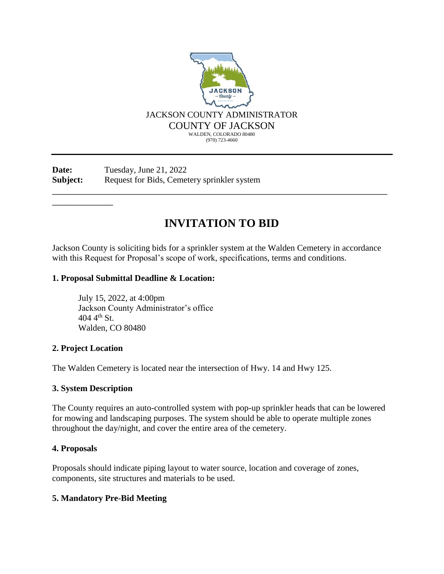

Date: Tuesday, June 21, 2022 **Subject:** Request for Bids, Cemetery sprinkler system

# **INVITATION TO BID**

\_\_\_\_\_\_\_\_\_\_\_\_\_\_\_\_\_\_\_\_\_\_\_\_\_\_\_\_\_\_\_\_\_\_\_\_\_\_\_\_\_\_\_\_\_\_\_\_\_\_\_\_\_\_\_\_\_\_\_\_\_\_\_\_\_\_

Jackson County is soliciting bids for a sprinkler system at the Walden Cemetery in accordance with this Request for Proposal's scope of work, specifications, terms and conditions.

## **1. Proposal Submittal Deadline & Location:**

July 15, 2022, at 4:00pm Jackson County Administrator's office  $404 \, 4^{th} \,$ St. Walden, CO 80480

## **2. Project Location**

\_\_\_\_\_\_\_\_\_\_\_\_

The Walden Cemetery is located near the intersection of Hwy. 14 and Hwy 125.

## **3. System Description**

The County requires an auto-controlled system with pop-up sprinkler heads that can be lowered for mowing and landscaping purposes. The system should be able to operate multiple zones throughout the day/night, and cover the entire area of the cemetery.

## **4. Proposals**

Proposals should indicate piping layout to water source, location and coverage of zones, components, site structures and materials to be used.

# **5. Mandatory Pre-Bid Meeting**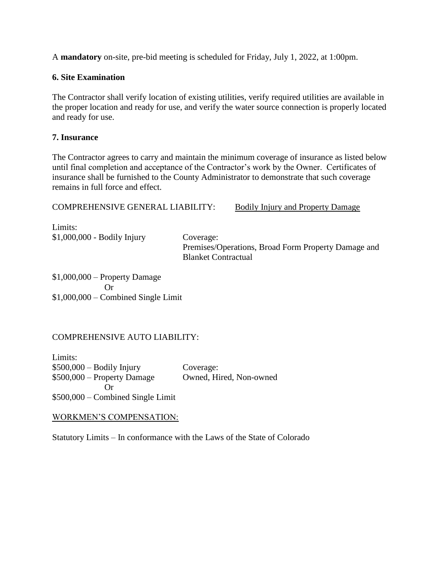A **mandatory** on-site, pre-bid meeting is scheduled for Friday, July 1, 2022, at 1:00pm.

# **6. Site Examination**

The Contractor shall verify location of existing utilities, verify required utilities are available in the proper location and ready for use, and verify the water source connection is properly located and ready for use.

## **7. Insurance**

The Contractor agrees to carry and maintain the minimum coverage of insurance as listed below until final completion and acceptance of the Contractor's work by the Owner. Certificates of insurance shall be furnished to the County Administrator to demonstrate that such coverage remains in full force and effect.

# COMPREHENSIVE GENERAL LIABILITY: Bodily Injury and Property Damage

Limits: \$1,000,000 - Bodily Injury Coverage:

Premises/Operations, Broad Form Property Damage and Blanket Contractual

\$1,000,000 – Property Damage Or \$1,000,000 – Combined Single Limit

# COMPREHENSIVE AUTO LIABILITY:

Limits: \$500,000 – Bodily Injury Coverage: \$500,000 – Property Damage Owned, Hired, Non-owned Or \$500,000 – Combined Single Limit

## WORKMEN'S COMPENSATION:

Statutory Limits – In conformance with the Laws of the State of Colorado